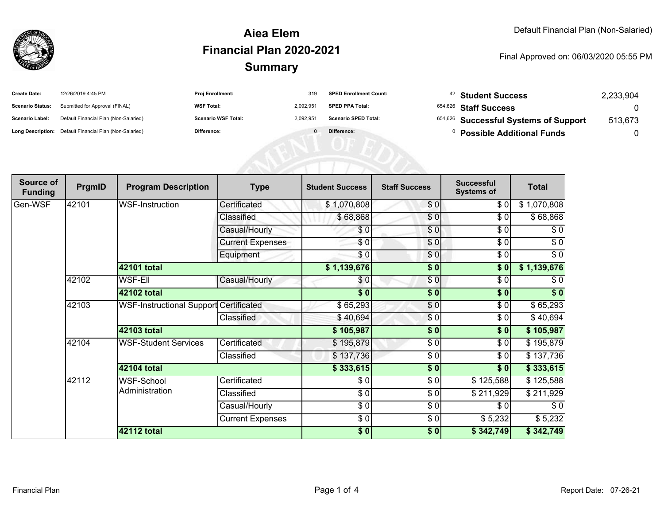

#### **SummaryAiea ElemFinancial Plan 2020-2021**

#### Final Approved on: 06/03/2020 05:55 PM

| <b>Create Date:</b>     | 12/26/2019 4:45 PM                                      | <b>Proj Enrollment:</b>    | 319       | <b>SPED Enrollment Count:</b> | <sup>42</sup> Student Success         | 2,233,904 |
|-------------------------|---------------------------------------------------------|----------------------------|-----------|-------------------------------|---------------------------------------|-----------|
| <b>Scenario Status:</b> | Submitted for Approval (FINAL)                          | <b>WSF Total:</b>          | 2.092.951 | <b>SPED PPA Total:</b>        | 654,626 Staff Success                 |           |
| <b>Scenario Label:</b>  | Default Financial Plan (Non-Salaried)                   | <b>Scenario WSF Total:</b> | 2.092.951 | <b>Scenario SPED Total:</b>   | 654,626 Successful Systems of Support | 513,673   |
|                         | Long Description: Default Financial Plan (Non-Salaried) | Difference:                |           | Difference:                   | <b>Possible Additional Funds</b>      |           |

| Source of<br><b>Funding</b> | PrgmID | <b>Program Description</b>             | <b>Type</b>             | <b>Student Success</b> | <b>Staff Success</b> | <b>Successful</b><br><b>Systems of</b> | <b>Total</b> |
|-----------------------------|--------|----------------------------------------|-------------------------|------------------------|----------------------|----------------------------------------|--------------|
| Gen-WSF                     | 42101  | <b>WSF-Instruction</b>                 | Certificated            | \$1,070,808            | \$0                  | \$0                                    | \$1,070,808  |
|                             |        |                                        | Classified              | \$68,868               | \$0                  | \$0                                    | \$68,868     |
|                             |        |                                        | Casual/Hourly           | \$0                    | \$0                  | \$0                                    | $\sqrt{6}$   |
|                             |        |                                        | <b>Current Expenses</b> | \$0                    | \$0                  | \$0                                    | \$0          |
|                             |        |                                        | Equipment               | $\frac{3}{6}$          | $\frac{6}{3}$        | $\sqrt{6}$                             | $\sqrt{6}$   |
|                             |        | 42101 total                            |                         | \$1,139,676            | \$0                  | \$0]                                   | \$1,139,676  |
|                             | 42102  | <b>WSF-EII</b>                         | Casual/Hourly           | \$0                    | \$0]                 | \$0                                    | \$0          |
|                             |        | 42102 total                            |                         | $\overline{\$0}$       | \$0                  | \$0                                    | \$0          |
|                             | 42103  | WSF-Instructional Support Certificated |                         | \$65,293               | \$0                  | \$0                                    | \$65,293     |
|                             |        |                                        | Classified              | \$40,694               | \$0                  | \$0                                    | \$40,694     |
|                             |        | <b>42103 total</b>                     |                         | \$105,987              | \$0                  | \$0                                    | \$105,987    |
|                             | 42104  | <b>WSF-Student Services</b>            | Certificated            | \$195,879              | \$0                  | \$0                                    | \$195,879    |
|                             |        |                                        | Classified              | \$137,736              | \$0                  | \$0                                    | \$137,736    |
|                             |        | 42104 total                            |                         | \$333,615              | \$0                  | \$0                                    | \$333,615    |
|                             | 42112  | <b>WSF-School</b>                      | Certificated            | \$0                    | \$0                  | \$125,588                              | \$125,588    |
|                             |        | Administration                         | Classified              | \$0                    | \$0                  | \$211,929                              | \$211,929    |
|                             |        |                                        | Casual/Hourly           | \$0                    | \$0                  | \$0                                    | \$0          |
|                             |        |                                        | <b>Current Expenses</b> | \$0                    | \$0                  | \$5,232                                | \$5,232      |
|                             |        | 42112 total                            |                         | \$0                    | \$0                  | \$342,749                              | \$342,749    |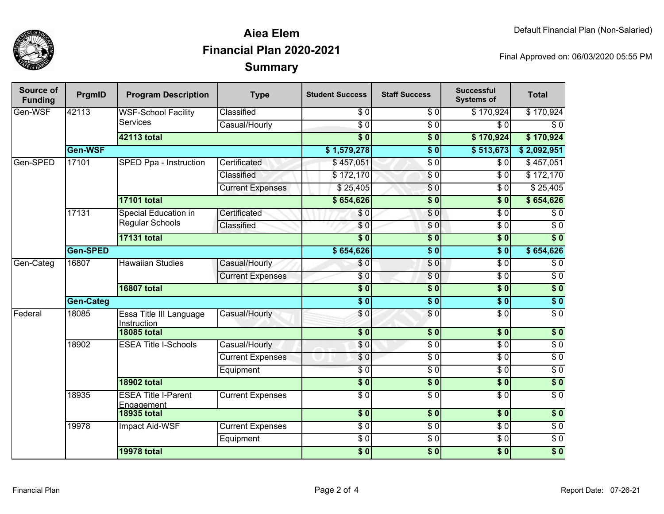

## **SummaryAiea ElemFinancial Plan 2020-2021**

Final Approved on: 06/03/2020 05:55 PM

| Source of<br><b>Funding</b> | PrgmID    | <b>Program Description</b>                     | <b>Type</b>             | <b>Student Success</b>    | <b>Staff Success</b>   | <b>Successful</b><br><b>Systems of</b> | <b>Total</b>     |
|-----------------------------|-----------|------------------------------------------------|-------------------------|---------------------------|------------------------|----------------------------------------|------------------|
| Gen-WSF                     | 42113     | <b>WSF-School Facility</b><br><b>Services</b>  | Classified              | \$0                       | \$0                    | \$170,924                              | \$170,924        |
|                             |           |                                                | Casual/Hourly           | $\overline{S}0$           | $\overline{\$0}$       | $\overline{\frac{1}{2}}$               | $\overline{\$0}$ |
|                             |           | <b>42113 total</b>                             |                         | $\overline{\$0}$          | $\overline{\$0}$       | \$170,924                              | \$170,924        |
|                             | Gen-WSF   |                                                |                         | \$1,579,278               | $\overline{\$0}$       | \$513,673                              | \$2,092,951      |
| Gen-SPED                    | 17101     | SPED Ppa - Instruction                         | Certificated            | \$457,051                 | $\overline{\$0}$       | \$0                                    | \$457,051        |
|                             |           |                                                | Classified              | \$172,170                 | $\sqrt{6}$             | $\sqrt{3}0$                            | \$172,170        |
|                             |           |                                                | <b>Current Expenses</b> | \$25,405                  | \$0                    | $\sqrt{3}0$                            | \$25,405         |
|                             |           | <b>17101 total</b>                             |                         | \$654,626                 | $\overline{\$0}$       | $\overline{\$0}$                       | \$654,626        |
|                             | 17131     | <b>Special Education in</b><br>Regular Schools | Certificated            | \$0                       | \$0                    | $\overline{\$0}$                       | $\overline{\$0}$ |
|                             |           |                                                | Classified              | $\overline{S}0$           | \$0                    | $\overline{$}0$                        | $\overline{\$0}$ |
|                             |           | <b>17131 total</b>                             |                         | $\overline{\$0}$          | $\overline{\$0}$       | $\overline{\$0}$                       | $\overline{\$0}$ |
|                             | Gen-SPED  |                                                |                         | \$654,626                 | $\overline{\$0}$       | $\overline{\$0}$                       | \$654,626        |
| Gen-Categ                   | 16807     | <b>Hawaiian Studies</b>                        | Casual/Hourly           | \$0                       | $\overline{\$0}$       | $\overline{\$0}$                       | $\overline{60}$  |
|                             |           |                                                | <b>Current Expenses</b> | \$0                       | $\sqrt{6}$             | $\sqrt{3}0$                            | $\overline{60}$  |
|                             |           | <b>16807 total</b>                             |                         | $\overline{\$0}$          | $\overline{\$0}$       | $\sqrt{6}$                             | $\overline{\$0}$ |
|                             | Gen-Categ |                                                |                         | $\overline{\$0}$          | $\overline{\$0}$       | $\overline{\$0}$                       | $\overline{\$0}$ |
| Federal                     | 18085     | Essa Title III Language<br><b>Instruction</b>  | Casual/Hourly           | \$0                       | \$0                    | $\overline{\$0}$                       | $\overline{60}$  |
|                             |           | <b>18085 total</b>                             |                         | $\overline{\textbf{S}^0}$ | s <sub>0</sub>         | $\overline{\textbf{S}^0}$              | $\overline{\$0}$ |
|                             | 18902     | <b>ESEA Title I-Schools</b>                    | Casual/Hourly           | $\overline{\$0}$          | $\overline{\$0}$       | $\overline{\$0}$                       | $\overline{30}$  |
|                             |           |                                                | <b>Current Expenses</b> | \$0                       | $\overline{\$0}$       | $\overline{\$0}$                       | $\overline{\$0}$ |
|                             |           |                                                | Equipment               | $\overline{\$0}$          | $\overline{\$0}$       | $\overline{\$0}$                       | $\overline{30}$  |
|                             |           | <b>18902 total</b>                             |                         | $\overline{\bullet}$ 0    | $\overline{\bullet}$ 0 | $\overline{\$0}$                       | $\overline{\$0}$ |
|                             | 18935     | <b>ESEA Title I-Parent</b><br>Engagement       | <b>Current Expenses</b> | $\overline{\$0}$          | $\overline{\$0}$       | $\overline{\$0}$                       | $\overline{30}$  |
|                             |           | <b>18935 total</b>                             |                         | \$0                       | \$0                    | \$0                                    | \$0              |
|                             | 19978     | <b>Impact Aid-WSF</b>                          | <b>Current Expenses</b> | $\overline{\$0}$          | $\overline{\$0}$       | \$0                                    | $\overline{60}$  |
|                             |           |                                                | Equipment               | $\overline{S}0$           | $\sqrt{6}$             | \$0                                    | $\overline{60}$  |
|                             |           | <b>19978 total</b>                             |                         | \$0                       | \$0                    | \$0                                    | \$0              |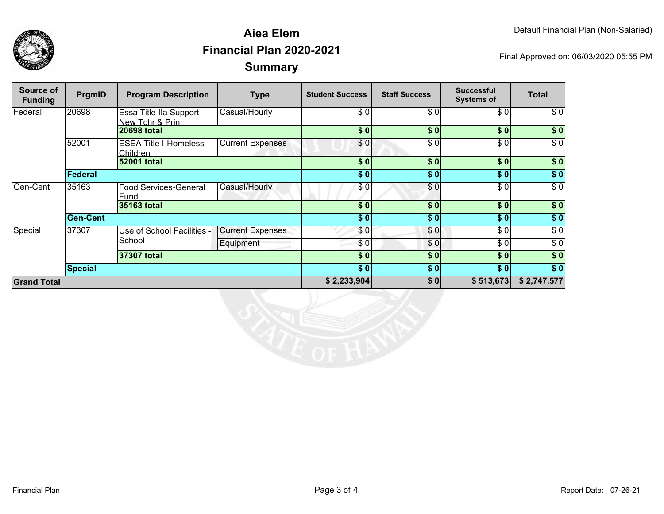



### **SummaryAiea ElemFinancial Plan 2020-2021**

Final Approved on: 06/03/2020 05:55 PM

| Source of<br><b>Funding</b> | PrgmID          | <b>Program Description</b>                | <b>Type</b>             | <b>Student Success</b> | <b>Staff Success</b> | <b>Successful</b><br><b>Systems of</b> | Total            |
|-----------------------------|-----------------|-------------------------------------------|-------------------------|------------------------|----------------------|----------------------------------------|------------------|
| Federal                     | 20698           | Essa Title IIa Support<br>New Tchr & Prin | Casual/Hourly           | \$0                    | \$0                  | \$0]                                   | \$0              |
|                             |                 | <b>20698 total</b>                        |                         | \$0                    | $\overline{\$0}$     | $s$ <sub>0</sub>                       | \$0              |
|                             | 52001           | <b>ESEA Title I-Homeless</b><br>Children  | <b>Current Expenses</b> | \$0                    | \$0                  | \$0]                                   | $\overline{\$0}$ |
|                             |                 | 52001 total                               |                         | \$0                    | \$0                  | \$0]                                   | $\sqrt{6}$       |
|                             | Federal         |                                           |                         | \$0]                   | \$0                  | \$0                                    | $\sqrt{6}$       |
| Gen-Cent                    | 35163           | <b>Food Services-General</b><br>Fund      | Casual/Hourly           | \$0                    | \$0                  | \$0]                                   | $\sqrt{6}$       |
|                             |                 | 35163 total                               |                         | \$0                    | $\overline{\$0}$     | $\overline{\$0}$                       | $\overline{\$}0$ |
|                             | <b>Gen-Cent</b> |                                           |                         | \$0]                   | \$0                  | \$0                                    | $\sqrt{50}$      |
| Special                     | 37307           | Use of School Facilities -<br>School      | <b>Current Expenses</b> | \$0                    | \$0                  | \$0]                                   | $\sqrt{6}$       |
|                             |                 |                                           | Equipment               | \$0                    | \$0                  | \$0]                                   | $\sqrt{6}$       |
|                             |                 | 37307 total                               |                         | \$0                    | \$0                  | \$0]                                   | \$0              |
|                             | <b>Special</b>  |                                           |                         | \$0                    | \$0                  | \$0                                    | $\sqrt{6}$       |
| <b>Grand Total</b>          |                 |                                           |                         | \$2,233,904            | \$0                  | \$513,673                              | \$2,747,577      |